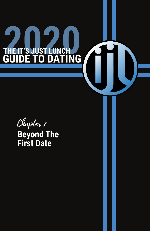# Before you press your built-in reject button, remember that you only need to determine whether or not you want to see them for a second date. So, stop right there! While first important are in portant  $\blacksquare$  $-$  to rating  $\ell$  is a second chance. **PROPAGE SUPPLIE IT'S JUST LUNCH A FACTURE TO DATING A FACT** one cause for first-date disasters and often leads to over-talking **GUIDE TO DATING**

or out-of-character shyness.

We usually recommend two or three dates before you rule

enough information to make a solid assessment.

someone out completely. By the third date, you'll have gathered

At that point there are two areas you should look at. The first is compatibility. Do you have things in common? Then, it's a good idea to check in with your own instincts. Ask yourself, "How do

friends who are with partners who you never thought they'd be with. What brings people like that together? They trusted their trusted that together? They trusted their trusted their

Basically, we all want the same things in a partner: honesty, trust, good communication, confidence, fun and understanding.

All that's left to work out is the timing. Is this person ready to commit, and does he or she want to share these qualities with

they make me feel inside? Are they genuine and trustworthy? Do  $\tau$ the  $\tau$ Chapter 7 (Chapter 7 ) and you

## yond I An instinctive "gut" feeling can draw you to Mr. or Ms. Right even if they don't match all your criteria on paper. You probably have **Beyond The First Date**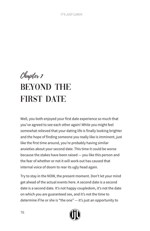# Chapter 7 Beyond the **FIRST DATE**

Well, you both enjoyed your first date experience so much that you've agreed to see each other again! While you might feel somewhat relieved that your dating life is finally looking brighter and the hope of finding someone you really like is imminent, just like the first time around, you're probably having similar anxieties about your second date. This time it could be worse because the stakes have been raised — you like this person and the fear of whether or not it will work out has caused that internal voice of doom to rear its ugly head again.

Try to stay in the NOW, the present moment. Don't let your mind get ahead of the actual events here. A second date is a second date is a second date. It's not happy coupledom, it's not the date on which you are guaranteed sex, and it's not the time to determine if he or she is "the one" — it's just an opportunity to

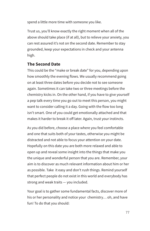spend a little more time with someone you like.

Trust us, you'll know exactly the right moment when all of the above should take place (if at all), but to relieve your anxiety, you can rest assured it's not on the second date. Remember to stay grounded, keep your expectations in check and your antenna high.

## **The Second Date**

This could be the "make or break date" for you, depending upon how smoothly the evening flows. We usually recommend going on at least three dates before you decide not to see someone again. Sometimes it can take two or three meetings before the chemistry kicks in. On the other hand, if you have to give yourself a pep talk every time you go out to meet this person, you might want to consider calling it a day. Going with the flow too long isn't smart. One of you could get emotionally attached and that makes it harder to break it off later. Again, trust your instincts.

As you did before, choose a place where you feel comfortable and one that suits both of your tastes, otherwise you might be distracted and not able to focus your attention on your date. Hopefully on this date you are both more relaxed and able to open up and reveal some insight into the things that make you the unique and wonderful person that you are. Remember, your aim is to discover as much relevant information about him or her as possible. Take it easy and don't rush things. Remind yourself that perfect people do not exist in this world and everybody has strong and weak traits — you included.

Your goal is to gather some fundamental facts, discover more of his or her personality and notice your chemistry… oh, and have fun! To do that you should: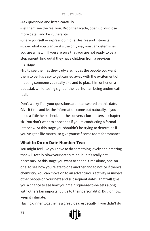-Ask questions and listen carefully.

-Let them see the real you. Drop the façade, open up, disclose more detail and be vulnerable.

-Share yourself — express opinions, desires and interests. -Know what you want — it's the only way you can determine if you are a match. If you are sure that you are not ready to be a step parent, find out if they have children from a previous marriage.

-Try to see them as they truly are, not as the people you want them to be. It's easy to get carried away with the excitement of meeting someone you really like and to place him or her on a pedestal, while losing sight of the real human being underneath it all.

Don't worry if all your questions aren't answered on this date. Give it time and let the information come out naturally. If you need a little help, check out the conversation starters in chapter six. You don't want to appear as if you're conducting a formal interview. At this stage you shouldn't be trying to determine if you've got a life match, so give yourself some room for romance.

## **What to Do on Date Number Two**

You might feel like you have to do something lovely and amazing that will totally blow your date's mind, but it's really not necessary. At this stage you want to spend time alone, one-onone, to see how you relate to one another and to notice if there's chemistry. You can move on to an adventurous activity or involve other people on your next and subsequent dates. That will give you a chance to see how your main squeeze-to-be gets along with others (an important clue to their personality). But for now, keep it intimate.

Having dinner together is a great idea, especially if you didn't do

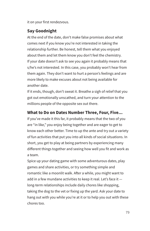it on your first rendezvous.

## **Say Goodnight**

At the end of the date, don't make false promises about what comes next if you know you're not interested in taking the relationship further. Be honest, tell them what you enjoyed about them and let them know you don't feel the chemistry. If your date doesn't ask to see you again it probably means that s/he's not interested. In this case, you probably won't hear from them again. They don't want to hurt a person's feelings and are more likely to make excuses about not being available for another date.

If it ends, though, don't sweat it. Breathe a sigh of relief that you got out emotionally unscathed, and turn your attention to the millions people of the opposite sex out there.

## **What to Do on Dates Number Three, Four, Five...**

If you've made it this far, it probably means that the two of you are "in like," you enjoy being together and are eager to get to know each other better. Time to up the ante and try out a variety of fun activities that put you into all kinds of social situations. In short, you get to play at being partners by experiencing many different things together and seeing how well you fit and work as a team.

Spice up your dating game with some adventurous dates, play games and share activities, or try something simple and romantic like a moonlit walk. After a while, you might want to add in a few mundane activities to keep it real. Let's face it long-term relationships include daily chores like shopping, taking the dog to the vet or fixing up the yard. Ask your date to hang out with you while you're at it or to help you out with these chores too.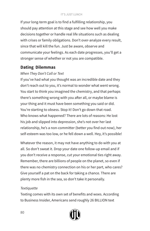If your long-term goal is to find a fulfilling relationship, you should pay attention at this stage and see how well you make decisions together or handle real life situations such as dealing with crises or family obligations. Don't over-analyze every result, since that will kill the fun. Just be aware, observe and communicate your feelings. As each date progresses, you'll get a stronger sense of whether or not you are compatible.

# **Dating Dilemmas**

## *When They Don't Call or Text*

If you've had what you thought was an incredible date and they don't reach out to you, it's normal to wonder what went wrong. You start to think you imagined the chemistry, and that perhaps there's something wrong with you after all, or maybe blame is your thing and it must have been something you said or did. You're starting to obsess. Stop it! Don't go down that road. Who knows what happened? There are lots of reasons: He lost his job and slipped into depression, she's not over her last relationship, he's a non-committer (better you find out now), her self-esteem was too low, or he fell down a well. Hey, it's possible!

Whatever the reason, it may not have anything to do with you at all. So don't sweat it. Drop your date one follow-up email and if you don't receive a response, cut your emotional ties right away. Remember, there are billions of people on the planet, so even if there was no chemistry connection on his or her part, who cares? Give yourself a pat on the back for taking a chance. There are plenty more fish in the sea, so don't take it personally.

## *Textiquette*

Texting comes with its own set of benefits and woes. According to Business Insider, Americans send roughly 26 BILLION text

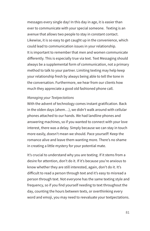messages every single day! In this day in age, it is easier than ever to communicate with your special someone. Texting is an avenue that allows two people to stay in constant contact. Likewise, it is so easy to get caught up in the convenience, which could lead to communication issues in your relationship. It is important to remember that men and women communicate differently. This is especially true via text. Text Messaging should always be a supplemental form of communication, not a primary method to talk to your partner. Limiting texting may help keep your relationship fresh by always being able to tell the tone in the conversation. Furthermore, we hear from our clients how much they appreciate a good old fashioned phone call.

#### *Managing your Textpectations*

With the advent of technology comes instant gratification. Back in the olden days (ahem…), we didn't walk around with cellular phones attached to our hands. We had landline phones and answering machines, so if you wanted to connect with your love interest, there was a delay. Simply because we can stay in touch more easily, doesn't mean we should. Pace yourself! Keep the romance alive and leave them wanting more. There's no shame in creating a little mystery for your potential mate.

It's crucial to understand why you are texting. If it stems from a desire for attention, don't do it. If it's because you're anxious to know whether they are still interested, again, don't do it. It's difficult to read a person through text and it's easy to misread a person through text. Not everyone has the same texting style and frequency, so if you find yourself needing to text throughout the day, counting the hours between texts, or overthinking every word and emoji, you may need to reevaluate your textpectations.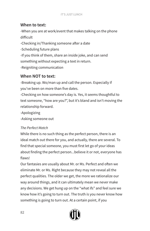## **When to text:**

-When you are at work/event that makes talking on the phone difficult

-Checking in/Thanking someone after a date

-Scheduling future plans

-If you think of them, share an inside joke, and can send something without expecting a text in return.

-Reigniting communication

# **When NOT to text:**

-Breaking up. Wo/man up and call the person. Especially if you've been on more than five dates.

-Checking on how someone's day is. Yes, it seems thoughtful to text someone, "how are you?", but it's bland and isn't moving the relationship forward.

-Apologizing

-Asking someone out

## *The Perfect Match*

While there is no such thing as the perfect person, there is an ideal match out there for you, and actually, there are several. To find that special someone, you must first let go of your ideas about finding the perfect person...believe it or not, everyone has flaws!

Our fantasies are usually about Mr. or Ms. Perfect and often we eliminate Mr. or Ms. Right because they may not reveal all the perfect qualities. The older we get, the more we rationalize our way around things, and it can ultimately mean we never make any decisions. We get hung up on the "what ifs" and feel sure we know how it's going to turn out. The truth is you never know how something is going to turn out. At a certain point, if you

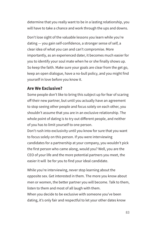determine that you really want to be in a lasting relationship, you will have to take a chance and work through the ups and downs.

Don't lose sight of the valuable lessons you learn while you're dating — you gain self-confidence, a stronger sense of self, a clear idea of what you can and can't compromise. More importantly, as an experienced dater, it becomes much easier for you to identify your soul mate when he or she finally shows up. So keep the faith. Make sure your goals are clear from the get go, keep an open dialogue, have a no-bull policy, and you might find yourself in love before you know it.

## **Are We Exclusive?**

Some people don't like to bring this subject up for fear of scaring off their new partner, but until you actually have an agreement to stop seeing other people and focus solely on each other, you shouldn't assume that you are in an exclusive relationship. The whole point of dating is to try out different people, and neither of you has to limit yourself to one person.

Don't rush into exclusivity until you know for sure that you want to focus solely on this person. If you were interviewing candidates for a partnership at your company, you wouldn't pick the first person who came along, would you? Well, you are the CEO of your life and the more potential partners you meet, the easier it will be for you to find your ideal candidate.

While you're interviewing, never stop learning about the opposite sex. Get interested in them. The more you know about men or women, the better partner you will become. Talk to them, listen to them and most of all laugh with them.

When you decide to be exclusive with someone you've been dating, it's only fair and respectful to let your other dates know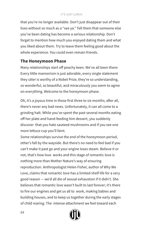that you're no longer available. Don't just disappear out of their lives without so much as a "see ya." Tell them that someone else you've been dating has become a serious relationship. Don't forget to mention how much you enjoyed dating them and what you liked about them. Try to leave them feeling good about the whole experience. You could even remain friends.

# **The Honeymoon Phase**

Many relationships start off peachy keen. We've all been there: Every little mannerism is just adorable, every single statement they utter is worthy of a Nobel Prize, they're so understanding, so wonderful, so beautiful, and miraculously you seem to agree on everything. Welcome to the honeymoon phase.

Oh, it's a joyous time in those first three to six months; after all, there's never any bad news. Unfortunately, it can all come to a grinding halt. While you've spent the past several months eating off her plate and hand-feeding him dessert, you suddenly discover that you hate sauteed mushrooms and if you see one more lettuce cup you'll faint.

Some relationships survive the end of the honeymoon period, other's fall by the wayside. But there's no need to feel bad if you can't make it past go and your engine loses steam. Believe it or not, that's how love works and this stage of romantic love is nothing more than Mother Nature's way of ensuring reproduction. Anthropologist Helen Fisher, author of Why We Love, claims that romantic love has a limited shelf life for a very good reason — we'd all die of sexual exhaustion if it didn't. She believes that romantic love wasn't built to last forever; it's there to fire our engines and get us all to work, making babies and building houses, and to keep us together during the early stages of child rearing. The intense attachment we feel toward each

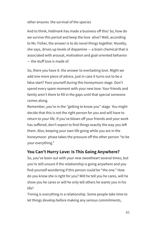other ensures the survival of the species

And to think, Hallmark has made a business off this! So, how do we survive this period and keep the love alive? Well, according to Ms. Fisher, the answer is to do novel things together. Novelty, she says, drives up levels of dopamine — a brain chemical that is associated with arousal, motivation and goal-oriented behavior — the stuff love is made of.

So, there you have it: the answer to everlasting love. Might we add one more piece of advice, just in case it turns out to be a false start? Pace yourself during this honeymoon stage. Don't spend every spare moment with your new love. Your friends and family aren't there to fill in the gaps until that special someone comes along.

Remember, you're in the "getting to know you" stage. You might decide that this is not the right person for you and will have to return to your life. If you've blown off your friends and your work has suffered, don't expect to find things exactly the way you left them. Also, keeping your own life going while you are in the honeymoon phase takes the pressure off the other person "to be your everything."

## **You Can't Hurry Love: Is This Going Anywhere?**

So, you've been out with your new sweetheart several times, but you're still unsure if the relationship is going anywhere and you find yourself wondering if this person could be "the one." How do you know she is right for you? Will he tell you he cares, will he show you he cares or will he only tell others he wants you in his life?

Timing is everything in a relationship. Some people take time to let things develop before making any serious commitments,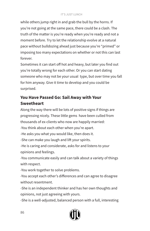while others jump right in and grab the bull by the horns. If you're not going at the same pace, there could be a clash. The truth of the matter is you're ready when you're ready and not a moment before. Try to let the relationship evolve at a natural pace without bulldozing ahead just because you're "primed" or imposing too many expectations on whether or not this can last forever.

Sometimes it can start off hot and heavy, but later you find out you're totally wrong for each other. Or you can start dating someone who may not be your usual type, but over time you fall for him anyway. Give it time to develop and you could be surprised.

# **You Have Passed Go: Sail Away with Your Sweetheart**

Along the way there will be lots of positive signs if things are progressing nicely. These little gems have been culled from thousands of ex-clients who now are happily married: -You think about each other when you're apart. -He asks you what you would like, then does it. -She can make you laugh and lift your spirits.

-He is caring and considerate, asks for and listens to your opinions and feelings.

-You communicate easily and can talk about a variety of things with respect.

-You work together to solve problems.

-You accept each other's differences and can agree to disagree without resentment.

-She is an independent thinker and has her own thoughts and opinions, not just agreeing with yours.

-She is a well-adjusted, balanced person with a full, interesting